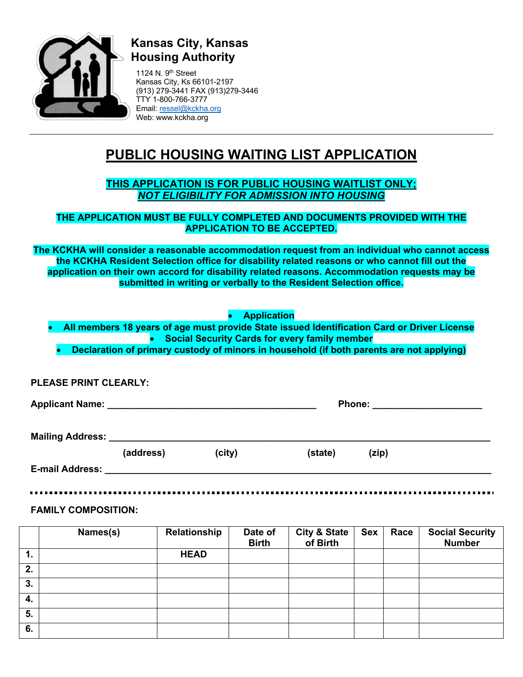

# **Kansas City, Kansas Housing Authority**

1124 N.  $9<sup>th</sup>$  Street Kansas City, Ks 66101-2197 (913) 279-3441 FAX (913)279-3446 TTY 1-800-766-3777 Email: ressel@kckha.org Web: www.kckha.org

# **PUBLIC HOUSING WAITING LIST APPLICATION**

## **THIS APPLICATION IS FOR PUBLIC HOUSING WAITLIST ONLY;** *NOT ELIGIBILITY FOR ADMISSION INTO HOUSING*

### **THE APPLICATION MUST BE FULLY COMPLETED AND DOCUMENTS PROVIDED WITH THE APPLICATION TO BE ACCEPTED.**

**The KCKHA will consider a reasonable accommodation request from an individual who cannot access the KCKHA Resident Selection office for disability related reasons or who cannot fill out the application on their own accord for disability related reasons. Accommodation requests may be submitted in writing or verbally to the Resident Selection office.**

• **Application**

- **All members 18 years of age must provide State issued Identification Card or Driver License** • **Social Security Cards for every family member**
	- **Declaration of primary custody of minors in household (if both parents are not applying)**

### **PLEASE PRINT CLEARLY:**

**Applicant Name: \_\_\_\_\_\_\_\_\_\_\_\_\_\_\_\_\_\_\_\_\_\_\_\_\_\_\_\_\_\_\_\_\_\_\_\_\_\_\_\_ Phone: \_\_\_\_\_\_\_\_\_\_\_\_\_\_\_\_\_\_\_\_\_**

**Mailing Address:** 

|                        | (address) | (city) | (state) | (zip) |  |
|------------------------|-----------|--------|---------|-------|--|
| <b>E-mail Address:</b> |           |        |         |       |  |
|                        |           |        |         |       |  |

**FAMILY COMPOSITION:**

|    | Names(s) | Relationship | Date of<br><b>Birth</b> | <b>City &amp; State</b><br>of Birth | <b>Sex</b> | Race | <b>Social Security</b><br><b>Number</b> |
|----|----------|--------------|-------------------------|-------------------------------------|------------|------|-----------------------------------------|
| 1. |          | <b>HEAD</b>  |                         |                                     |            |      |                                         |
| 2. |          |              |                         |                                     |            |      |                                         |
| 3. |          |              |                         |                                     |            |      |                                         |
| 4. |          |              |                         |                                     |            |      |                                         |
| 5. |          |              |                         |                                     |            |      |                                         |
| 6. |          |              |                         |                                     |            |      |                                         |